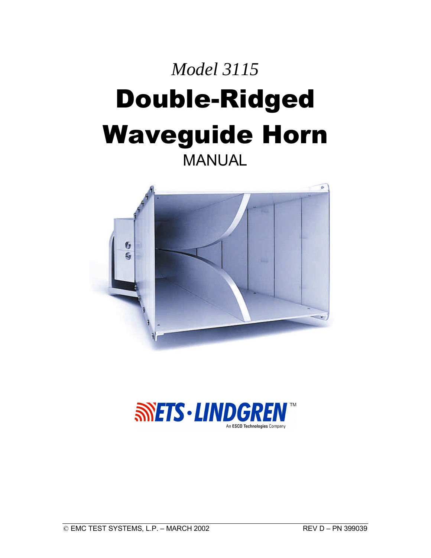# *Model 3115* Double-Ridged Waveguide Horn

MANUAL



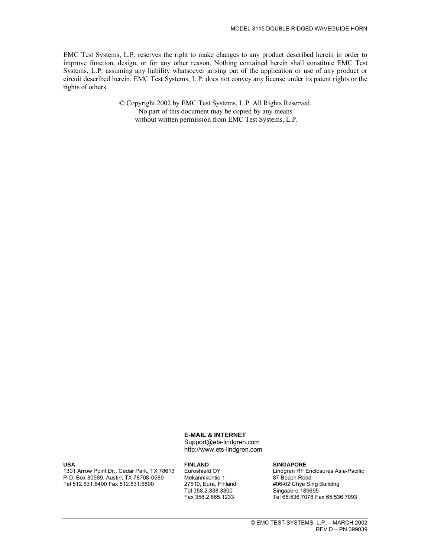EMC Test Systems, L.P. reserves the right to make changes to any product described herein in order to improve function, design, or for any other reason. Nothing contained herein shall constitute EMC Test Systems, L.P. assuming any liability whatsoever arising out of the application or use of any product or circuit described herein. EMC Test Systems, L.P. does not convey any license under its patent rights or the rights of others.

> © Copyright 2002 by EMC Test Systems, L.P. All Rights Reserved. No part of this document may be copied by any means without written permission from EMC Test Systems, L.P.

#### **E-MAIL & INTERNET**

Support@ets-lindgren.com http://www.ets-lindgren.com

#### **USA**

1301 Arrow Point Dr., Cedar Park, TX 78613 P.O. Box 80589, Austin, TX 78708-0589 Tel 512.531.6400 Fax 512.531.6500

#### **FINLAND**

Euroshield OY Mekannikontie 1 27510, Eura, Finland Tel 358.2.838.3300 Fax 358.2.865.1233

#### **SINGAPORE**

Lindgren RF Enclosures Asia-Pacific 87 Beach Road #06-02 Chye Sing Building Singapore 189695 Tel 65.536.7078 Fax 65.536.7093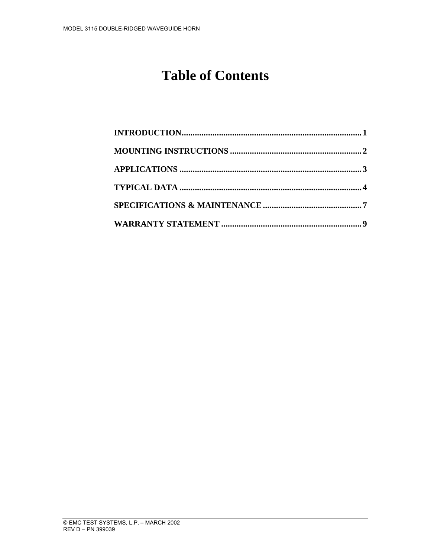#### **Table of Contents**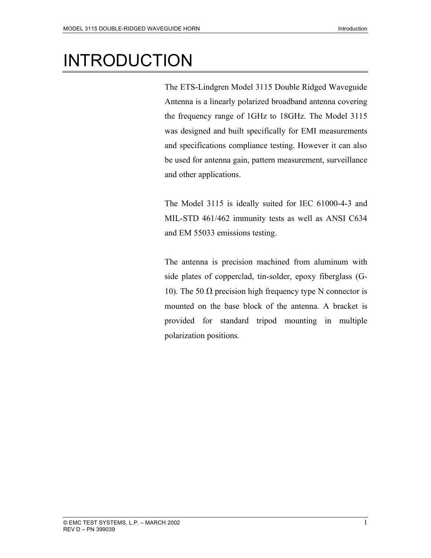# INTRODUCTION

The ETS-Lindgren Model 3115 Double Ridged Waveguide Antenna is a linearly polarized broadband antenna covering the frequency range of 1GHz to 18GHz. The Model 3115 was designed and built specifically for EMI measurements and specifications compliance testing. However it can also be used for antenna gain, pattern measurement, surveillance and other applications.

The Model 3115 is ideally suited for IEC 61000-4-3 and MIL-STD 461/462 immunity tests as well as ANSI C634 and EM 55033 emissions testing.

The antenna is precision machined from aluminum with side plates of copperclad, tin-solder, epoxy fiberglass (G-10). The 50  $\Omega$  precision high frequency type N connector is mounted on the base block of the antenna. A bracket is provided for standard tripod mounting in multiple polarization positions.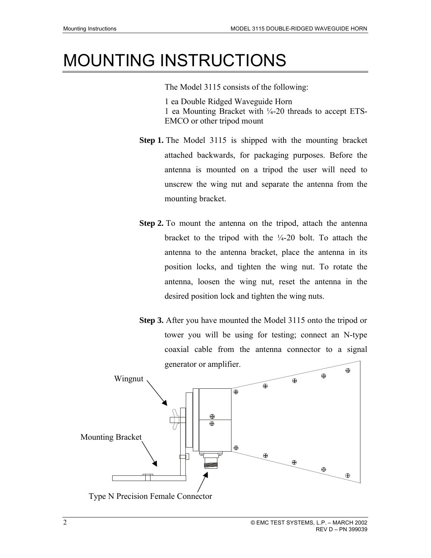#### MOUNTING INSTRUCTIONS

The Model 3115 consists of the following: 1 ea Double Ridged Waveguide Horn 1 ea Mounting Bracket with ¼-20 threads to accept ETS-EMCO or other tripod mount

- **Step 1.** The Model 3115 is shipped with the mounting bracket attached backwards, for packaging purposes. Before the antenna is mounted on a tripod the user will need to unscrew the wing nut and separate the antenna from the mounting bracket.
- **Step 2.** To mount the antenna on the tripod, attach the antenna bracket to the tripod with the  $\frac{1}{4}$ -20 bolt. To attach the antenna to the antenna bracket, place the antenna in its position locks, and tighten the wing nut. To rotate the antenna, loosen the wing nut, reset the antenna in the desired position lock and tighten the wing nuts.
- **Step 3.** After you have mounted the Model 3115 onto the tripod or tower you will be using for testing; connect an N-type coaxial cable from the antenna connector to a signal generator or amplifier.



Type N Precision Female Connector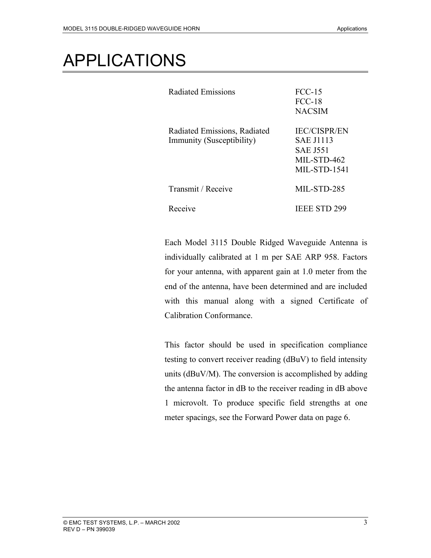### APPLICATIONS

| Radiated Emissions                                        | $FCC-15$<br><b>FCC-18</b><br><b>NACSIM</b>                                                       |
|-----------------------------------------------------------|--------------------------------------------------------------------------------------------------|
| Radiated Emissions, Radiated<br>Immunity (Susceptibility) | <b>IEC/CISPR/EN</b><br><b>SAE J1113</b><br><b>SAE J551</b><br>MIL-STD-462<br><b>MIL-STD-1541</b> |
| Transmit / Receive                                        | MIL-STD-285                                                                                      |
| Receive                                                   | <b>IEEE STD 299</b>                                                                              |

Each Model 3115 Double Ridged Waveguide Antenna is individually calibrated at 1 m per SAE ARP 958. Factors for your antenna, with apparent gain at 1.0 meter from the end of the antenna, have been determined and are included with this manual along with a signed Certificate of Calibration Conformance.

This factor should be used in specification compliance testing to convert receiver reading (dBuV) to field intensity units (dBuV/M). The conversion is accomplished by adding the antenna factor in dB to the receiver reading in dB above 1 microvolt. To produce specific field strengths at one meter spacings, see the Forward Power data on page 6.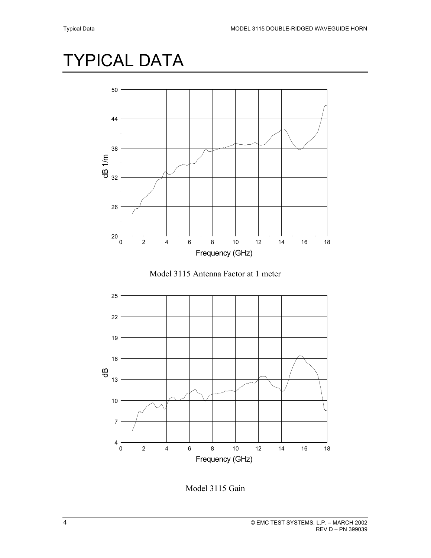### TYPICAL DATA



Model 3115 Antenna Factor at 1 meter



Model 3115 Gain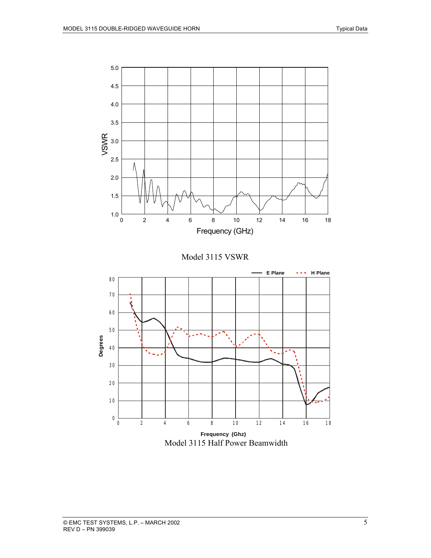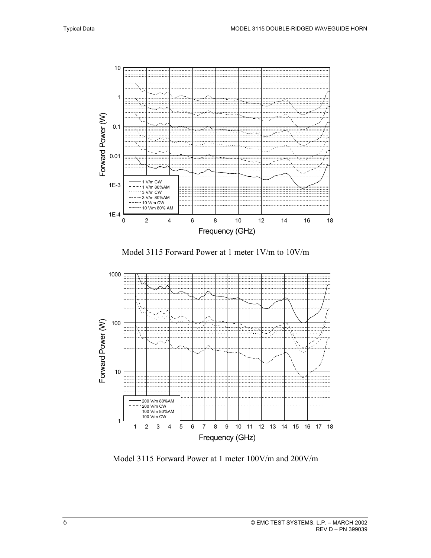

Model 3115 Forward Power at 1 meter 1V/m to 10V/m



Model 3115 Forward Power at 1 meter 100V/m and 200V/m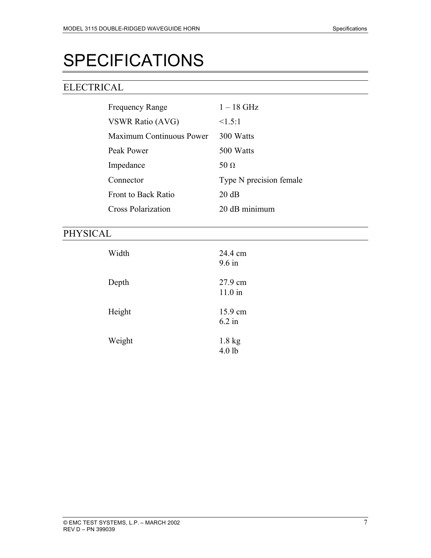# SPECIFICATIONS

#### ELECTRICAL

| <b>Frequency Range</b>     | $1-18$ GHz              |
|----------------------------|-------------------------|
| <b>VSWR Ratio (AVG)</b>    | <1.5:1                  |
| Maximum Continuous Power   | 300 Watts               |
| Peak Power                 | 500 Watts               |
| Impedance                  | 50 $\Omega$             |
| Connector                  | Type N precision female |
| <b>Front to Back Ratio</b> | $20 \text{ dB}$         |
| <b>Cross Polarization</b>  | 20 dB minimum           |

#### PHYSICAL

| Width  | 24.4 cm<br>$9.6$ in          |
|--------|------------------------------|
| Depth  | 27.9 cm<br>$11.0$ in         |
| Height | 15.9 cm<br>$6.2$ in          |
| Weight | $1.8 \text{ kg}$<br>$4.0$ lb |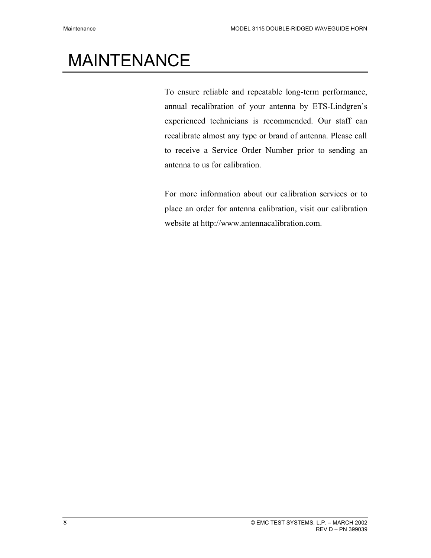### MAINTENANCE

To ensure reliable and repeatable long-term performance, annual recalibration of your antenna by ETS-Lindgren's experienced technicians is recommended. Our staff can recalibrate almost any type or brand of antenna. Please call to receive a Service Order Number prior to sending an antenna to us for calibration.

For more information about our calibration services or to place an order for antenna calibration, visit our calibration website at http://www.antennacalibration.com.